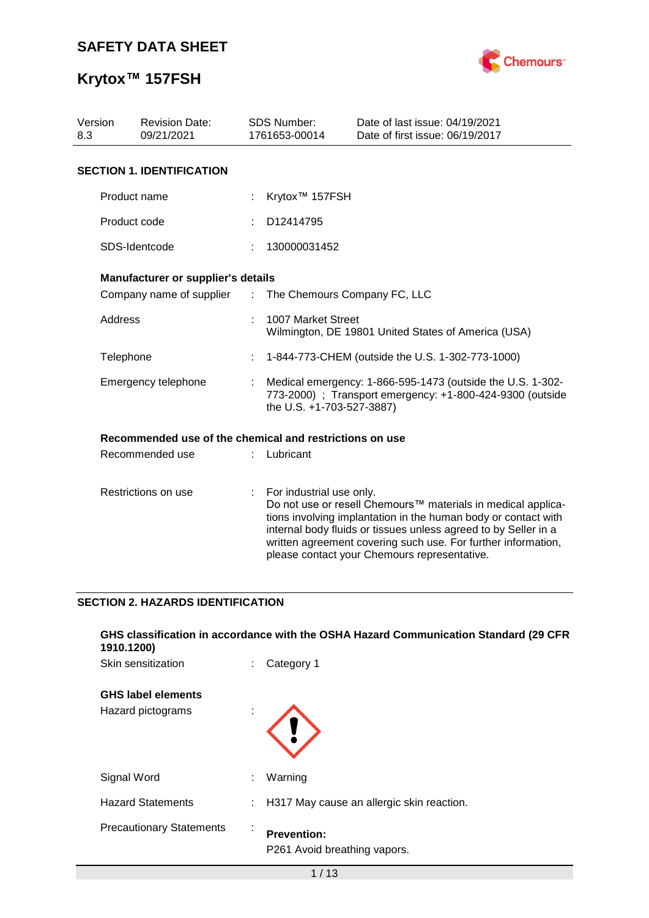

# **Krytox™ 157FSH**

| 8.3 |                                                                                                                                                                                                                                                                                                                                                                                                                                                                                                                                                                                                                                                                                                                                                                                                                                                                                                                                                                                                                                                                                                                | <b>Revision Date:</b><br>09/21/2021 |  |  | Date of last issue: 04/19/2021<br>Date of first issue: 06/19/2017 |
|-----|----------------------------------------------------------------------------------------------------------------------------------------------------------------------------------------------------------------------------------------------------------------------------------------------------------------------------------------------------------------------------------------------------------------------------------------------------------------------------------------------------------------------------------------------------------------------------------------------------------------------------------------------------------------------------------------------------------------------------------------------------------------------------------------------------------------------------------------------------------------------------------------------------------------------------------------------------------------------------------------------------------------------------------------------------------------------------------------------------------------|-------------------------------------|--|--|-------------------------------------------------------------------|
|     | <b>SDS Number:</b><br>Version<br>1761653-00014<br><b>SECTION 1. IDENTIFICATION</b><br>Product name<br>Krytox <sup>™</sup> 157FSH<br>Product code<br>D12414795<br>SDS-Identcode<br>130000031452<br>Manufacturer or supplier's details<br>: The Chemours Company FC, LLC<br>Company name of supplier<br>Address<br>1007 Market Street<br>Wilmington, DE 19801 United States of America (USA)<br>1-844-773-CHEM (outside the U.S. 1-302-773-1000)<br>Telephone<br>Emergency telephone<br>Medical emergency: 1-866-595-1473 (outside the U.S. 1-302-<br>773-2000) ; Transport emergency: +1-800-424-9300 (outside<br>the U.S. +1-703-527-3887)<br>Recommended use of the chemical and restrictions on use<br>Recommended use<br>Lubricant<br>Restrictions on use<br>For industrial use only.<br>Do not use or resell Chemours™ materials in medical applica-<br>tions involving implantation in the human body or contact with<br>internal body fluids or tissues unless agreed to by Seller in a<br>written agreement covering such use. For further information,<br>please contact your Chemours representative. |                                     |  |  |                                                                   |
|     |                                                                                                                                                                                                                                                                                                                                                                                                                                                                                                                                                                                                                                                                                                                                                                                                                                                                                                                                                                                                                                                                                                                |                                     |  |  |                                                                   |
|     |                                                                                                                                                                                                                                                                                                                                                                                                                                                                                                                                                                                                                                                                                                                                                                                                                                                                                                                                                                                                                                                                                                                |                                     |  |  |                                                                   |
|     |                                                                                                                                                                                                                                                                                                                                                                                                                                                                                                                                                                                                                                                                                                                                                                                                                                                                                                                                                                                                                                                                                                                |                                     |  |  |                                                                   |
|     |                                                                                                                                                                                                                                                                                                                                                                                                                                                                                                                                                                                                                                                                                                                                                                                                                                                                                                                                                                                                                                                                                                                |                                     |  |  |                                                                   |
|     |                                                                                                                                                                                                                                                                                                                                                                                                                                                                                                                                                                                                                                                                                                                                                                                                                                                                                                                                                                                                                                                                                                                |                                     |  |  |                                                                   |
|     |                                                                                                                                                                                                                                                                                                                                                                                                                                                                                                                                                                                                                                                                                                                                                                                                                                                                                                                                                                                                                                                                                                                |                                     |  |  |                                                                   |
|     |                                                                                                                                                                                                                                                                                                                                                                                                                                                                                                                                                                                                                                                                                                                                                                                                                                                                                                                                                                                                                                                                                                                |                                     |  |  |                                                                   |
|     |                                                                                                                                                                                                                                                                                                                                                                                                                                                                                                                                                                                                                                                                                                                                                                                                                                                                                                                                                                                                                                                                                                                |                                     |  |  |                                                                   |
|     |                                                                                                                                                                                                                                                                                                                                                                                                                                                                                                                                                                                                                                                                                                                                                                                                                                                                                                                                                                                                                                                                                                                |                                     |  |  |                                                                   |
|     |                                                                                                                                                                                                                                                                                                                                                                                                                                                                                                                                                                                                                                                                                                                                                                                                                                                                                                                                                                                                                                                                                                                |                                     |  |  |                                                                   |
|     |                                                                                                                                                                                                                                                                                                                                                                                                                                                                                                                                                                                                                                                                                                                                                                                                                                                                                                                                                                                                                                                                                                                |                                     |  |  |                                                                   |

## **SECTION 2. HAZARDS IDENTIFICATION**

| GHS classification in accordance with the OSHA Hazard Communication Standard (29 CFR<br>1910.1200) |              |                                                    |  |  |  |  |
|----------------------------------------------------------------------------------------------------|--------------|----------------------------------------------------|--|--|--|--|
| Skin sensitization                                                                                 | ÷            | Category 1                                         |  |  |  |  |
| <b>GHS label elements</b>                                                                          |              |                                                    |  |  |  |  |
| Hazard pictograms                                                                                  |              |                                                    |  |  |  |  |
| Signal Word                                                                                        | ÷.           | Warning                                            |  |  |  |  |
| <b>Hazard Statements</b>                                                                           |              | : H317 May cause an allergic skin reaction.        |  |  |  |  |
| <b>Precautionary Statements</b>                                                                    | $\mathbf{r}$ | <b>Prevention:</b><br>P261 Avoid breathing vapors. |  |  |  |  |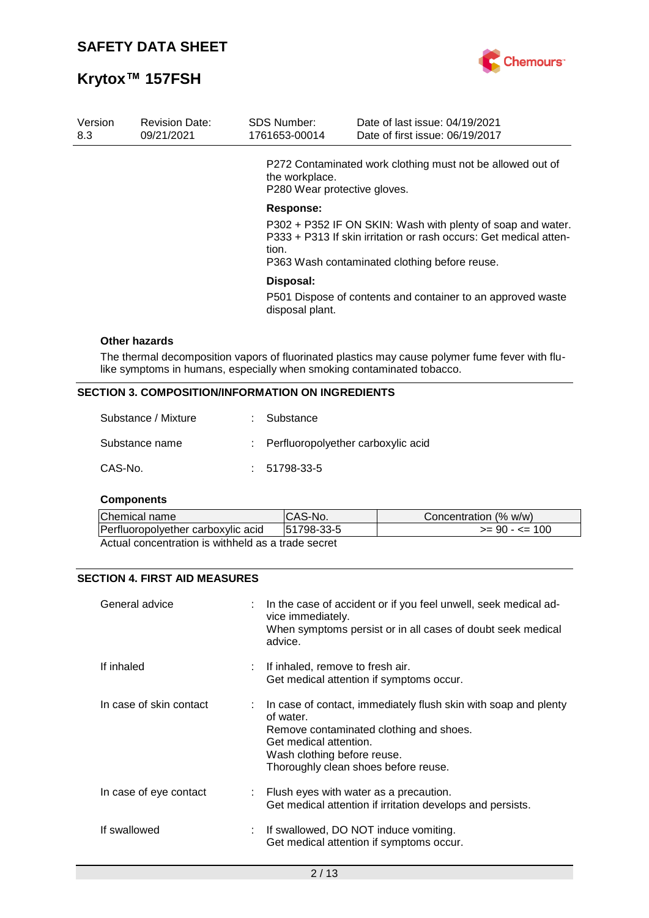

| Version<br>8.3 | <b>Revision Date:</b><br>09/21/2021 | <b>SDS Number:</b><br>1761653-00014            | Date of last issue: 04/19/2021<br>Date of first issue: 06/19/2017                                                                                                                 |
|----------------|-------------------------------------|------------------------------------------------|-----------------------------------------------------------------------------------------------------------------------------------------------------------------------------------|
|                |                                     | the workplace.<br>P280 Wear protective gloves. | P272 Contaminated work clothing must not be allowed out of                                                                                                                        |
|                |                                     | Response:<br>tion.                             | P302 + P352 IF ON SKIN: Wash with plenty of soap and water.<br>P333 + P313 If skin irritation or rash occurs: Get medical atten-<br>P363 Wash contaminated clothing before reuse. |
|                |                                     | Disposal:<br>disposal plant.                   | P501 Dispose of contents and container to an approved waste                                                                                                                       |
|                | Other hazards                       |                                                |                                                                                                                                                                                   |

#### The thermal decomposition vapors of fluorinated plastics may cause polymer fume fever with flulike symptoms in humans, especially when smoking contaminated tobacco.

### **SECTION 3. COMPOSITION/INFORMATION ON INGREDIENTS**

| Substance / Mixture | : Substance                          |
|---------------------|--------------------------------------|
| Substance name      | : Perfluoropolyether carboxylic acid |
| CAS-No.             | $: 51798-33-5$                       |

#### **Components**

| Chemical name                                      | CAS-No.    | Concentration (% w/w) |
|----------------------------------------------------|------------|-----------------------|
| Perfluoropolyether carboxylic acid                 | 51798-33-5 | $>= 90 - 5 = 100$     |
| Actual concentration is withheld as a trade secret |            |                       |

### **SECTION 4. FIRST AID MEASURES**

| General advice          | : In the case of accident or if you feel unwell, seek medical ad-<br>vice immediately.<br>When symptoms persist or in all cases of doubt seek medical<br>advice.                                                                      |
|-------------------------|---------------------------------------------------------------------------------------------------------------------------------------------------------------------------------------------------------------------------------------|
| If inhaled              | $\therefore$ If inhaled, remove to fresh air.<br>Get medical attention if symptoms occur.                                                                                                                                             |
| In case of skin contact | $\therefore$ In case of contact, immediately flush skin with soap and plenty<br>of water.<br>Remove contaminated clothing and shoes.<br>Get medical attention.<br>Wash clothing before reuse.<br>Thoroughly clean shoes before reuse. |
| In case of eye contact  | : Flush eyes with water as a precaution.<br>Get medical attention if irritation develops and persists.                                                                                                                                |
| If swallowed            | : If swallowed, DO NOT induce vomiting.<br>Get medical attention if symptoms occur.                                                                                                                                                   |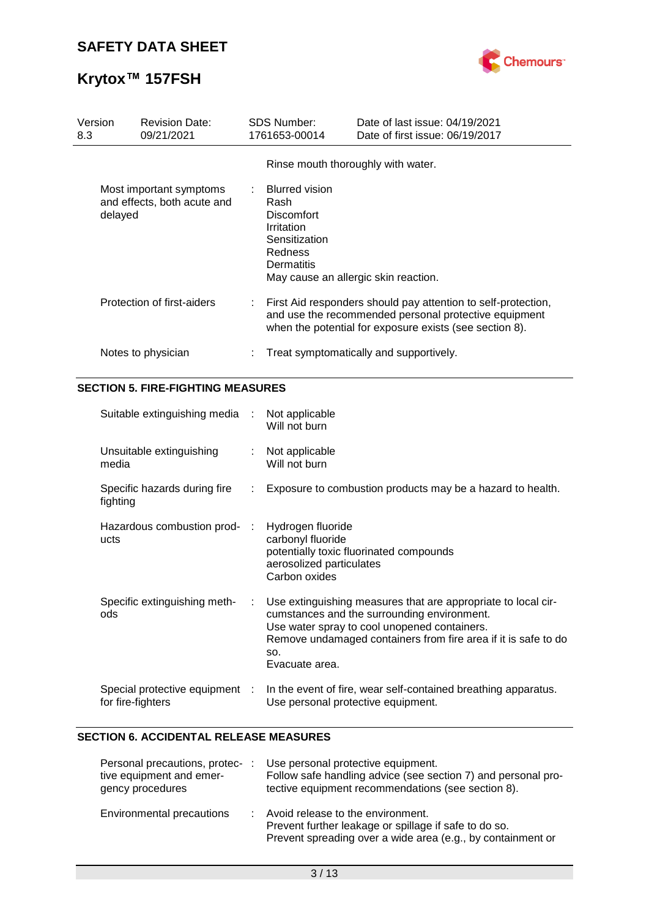

# **Krytox™ 157FSH**

| Version<br>8.3 | <b>Revision Date:</b><br>09/21/2021                    |           | SDS Number:<br>1761653-00014                                                                                      | Date of last issue: 04/19/2021<br>Date of first issue: 06/19/2017                                                                                                                                                              |
|----------------|--------------------------------------------------------|-----------|-------------------------------------------------------------------------------------------------------------------|--------------------------------------------------------------------------------------------------------------------------------------------------------------------------------------------------------------------------------|
|                |                                                        |           |                                                                                                                   | Rinse mouth thoroughly with water.                                                                                                                                                                                             |
| delayed        | Most important symptoms<br>and effects, both acute and |           | <b>Blurred vision</b><br>Rash<br><b>Discomfort</b><br>Irritation<br>Sensitization<br>Redness<br><b>Dermatitis</b> | May cause an allergic skin reaction.                                                                                                                                                                                           |
|                | Protection of first-aiders                             |           |                                                                                                                   | First Aid responders should pay attention to self-protection,<br>and use the recommended personal protective equipment<br>when the potential for exposure exists (see section 8).                                              |
|                | Notes to physician                                     |           |                                                                                                                   | Treat symptomatically and supportively.                                                                                                                                                                                        |
|                | <b>SECTION 5. FIRE-FIGHTING MEASURES</b>               |           |                                                                                                                   |                                                                                                                                                                                                                                |
|                | Suitable extinguishing media                           |           | Not applicable<br>Will not burn                                                                                   |                                                                                                                                                                                                                                |
| media          | Unsuitable extinguishing                               |           | Not applicable<br>Will not burn                                                                                   |                                                                                                                                                                                                                                |
| fighting       | Specific hazards during fire                           | ÷         |                                                                                                                   | Exposure to combustion products may be a hazard to health.                                                                                                                                                                     |
| ucts           | Hazardous combustion prod-                             | $\cdot$ : | Hydrogen fluoride<br>carbonyl fluoride<br>aerosolized particulates<br>Carbon oxides                               | potentially toxic fluorinated compounds                                                                                                                                                                                        |
| ods            | Specific extinguishing meth-                           |           | SO.<br>Evacuate area.                                                                                             | Use extinguishing measures that are appropriate to local cir-<br>cumstances and the surrounding environment.<br>Use water spray to cool unopened containers.<br>Remove undamaged containers from fire area if it is safe to do |
|                | Special protective equipment<br>for fire-fighters      |           |                                                                                                                   | In the event of fire, wear self-contained breathing apparatus.<br>Use personal protective equipment.                                                                                                                           |

### **SECTION 6. ACCIDENTAL RELEASE MEASURES**

| Personal precautions, protec-:<br>tive equipment and emer-<br>gency procedures | Use personal protective equipment.<br>Follow safe handling advice (see section 7) and personal pro-<br>tective equipment recommendations (see section 8). |
|--------------------------------------------------------------------------------|-----------------------------------------------------------------------------------------------------------------------------------------------------------|
| Environmental precautions                                                      | Avoid release to the environment.<br>Prevent further leakage or spillage if safe to do so.<br>Prevent spreading over a wide area (e.g., by containment or |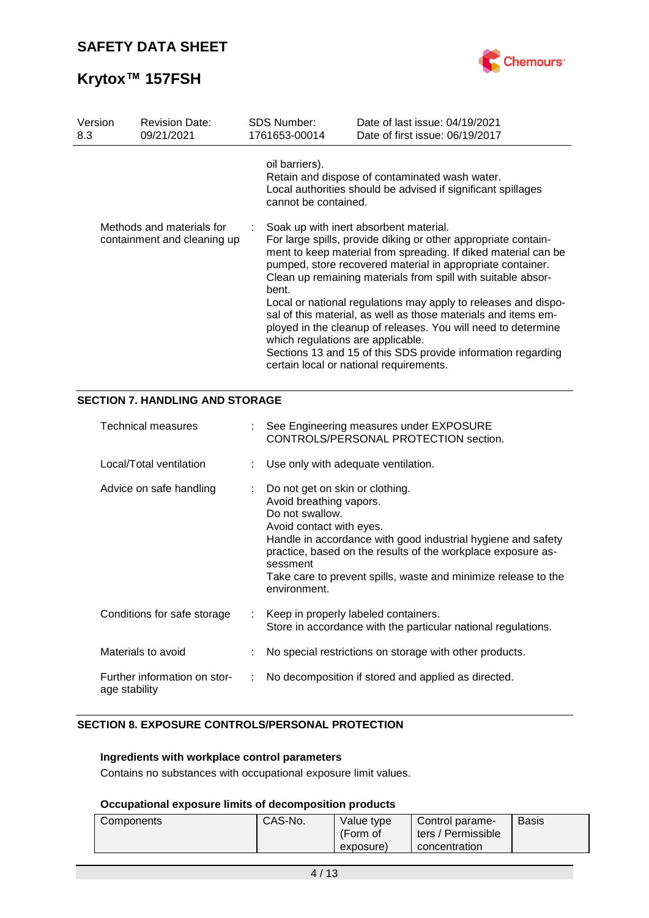

| Version<br>8.3 | <b>Revision Date:</b><br>09/21/2021                      | <b>SDS Number:</b><br>1761653-00014        | Date of last issue: 04/19/2021<br>Date of first issue: 06/19/2017                                                                                                                                                                                                                                                                                                                                                                                                                                                                                                                                                        |
|----------------|----------------------------------------------------------|--------------------------------------------|--------------------------------------------------------------------------------------------------------------------------------------------------------------------------------------------------------------------------------------------------------------------------------------------------------------------------------------------------------------------------------------------------------------------------------------------------------------------------------------------------------------------------------------------------------------------------------------------------------------------------|
|                |                                                          | oil barriers).<br>cannot be contained.     | Retain and dispose of contaminated wash water.<br>Local authorities should be advised if significant spillages                                                                                                                                                                                                                                                                                                                                                                                                                                                                                                           |
|                | Methods and materials for<br>containment and cleaning up | bent.<br>which regulations are applicable. | Soak up with inert absorbent material.<br>For large spills, provide diking or other appropriate contain-<br>ment to keep material from spreading. If diked material can be<br>pumped, store recovered material in appropriate container.<br>Clean up remaining materials from spill with suitable absor-<br>Local or national regulations may apply to releases and dispo-<br>sal of this material, as well as those materials and items em-<br>ployed in the cleanup of releases. You will need to determine<br>Sections 13 and 15 of this SDS provide information regarding<br>certain local or national requirements. |

## **SECTION 7. HANDLING AND STORAGE**

| <b>Technical measures</b>                     | See Engineering measures under EXPOSURE<br>CONTROLS/PERSONAL PROTECTION section.                                                                                                                                                                                                                                                        |
|-----------------------------------------------|-----------------------------------------------------------------------------------------------------------------------------------------------------------------------------------------------------------------------------------------------------------------------------------------------------------------------------------------|
| Local/Total ventilation                       | Use only with adequate ventilation.                                                                                                                                                                                                                                                                                                     |
| Advice on safe handling                       | Do not get on skin or clothing.<br>Avoid breathing vapors.<br>Do not swallow.<br>Avoid contact with eyes.<br>Handle in accordance with good industrial hygiene and safety<br>practice, based on the results of the workplace exposure as-<br>sessment<br>Take care to prevent spills, waste and minimize release to the<br>environment. |
| Conditions for safe storage                   | Keep in properly labeled containers.<br>Store in accordance with the particular national regulations.                                                                                                                                                                                                                                   |
| Materials to avoid                            | No special restrictions on storage with other products.                                                                                                                                                                                                                                                                                 |
| Further information on stor-<br>age stability | No decomposition if stored and applied as directed.                                                                                                                                                                                                                                                                                     |

## **SECTION 8. EXPOSURE CONTROLS/PERSONAL PROTECTION**

### **Ingredients with workplace control parameters**

Contains no substances with occupational exposure limit values.

#### **Occupational exposure limits of decomposition products**

| Components | CAS-No. | Value type<br>(Form of<br>exposure) | Control parame-<br>ters / Permissible<br>concentration | <b>Basis</b> |
|------------|---------|-------------------------------------|--------------------------------------------------------|--------------|
|            |         |                                     |                                                        |              |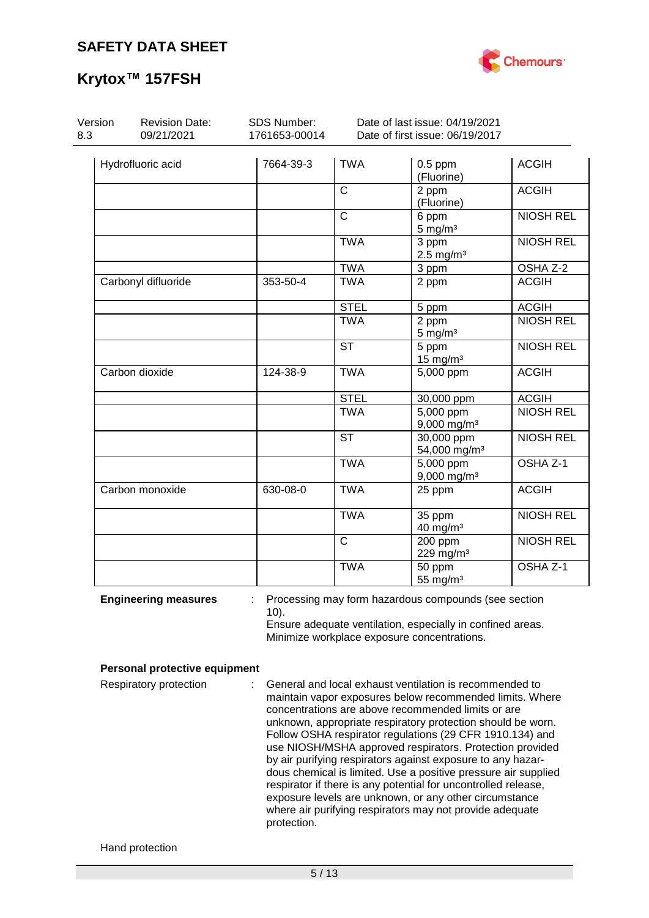

| Version<br>8.3              | <b>Revision Date:</b><br>09/21/2021 | <b>SDS Number:</b><br>1761653-00014 |                | Date of last issue: 04/19/2021<br>Date of first issue: 06/19/2017                                                                                                 |                     |
|-----------------------------|-------------------------------------|-------------------------------------|----------------|-------------------------------------------------------------------------------------------------------------------------------------------------------------------|---------------------|
|                             | Hydrofluoric acid                   | 7664-39-3                           | <b>TWA</b>     | $0.5$ ppm<br>(Fluorine)                                                                                                                                           | <b>ACGIH</b>        |
|                             |                                     |                                     | $\mathsf{C}$   | 2 ppm<br>(Fluorine)                                                                                                                                               | <b>ACGIH</b>        |
|                             |                                     |                                     | $\overline{C}$ | 6 ppm<br>$5 \text{ mg/m}^3$                                                                                                                                       | <b>NIOSH REL</b>    |
|                             |                                     |                                     | <b>TWA</b>     | 3 ppm<br>$2.5$ mg/m <sup>3</sup>                                                                                                                                  | <b>NIOSH REL</b>    |
|                             |                                     |                                     | <b>TWA</b>     | 3 ppm                                                                                                                                                             | OSHA Z-2            |
|                             | Carbonyl difluoride                 | 353-50-4                            | <b>TWA</b>     | 2 ppm                                                                                                                                                             | <b>ACGIH</b>        |
|                             |                                     |                                     | <b>STEL</b>    | 5 ppm                                                                                                                                                             | <b>ACGIH</b>        |
|                             |                                     |                                     | <b>TWA</b>     | 2 ppm<br>$5 \text{ mg/m}^3$                                                                                                                                       | <b>NIOSH REL</b>    |
|                             |                                     |                                     | <b>ST</b>      | $5$ ppm<br>$15 \text{ mg/m}^3$                                                                                                                                    | <b>NIOSH REL</b>    |
|                             | Carbon dioxide                      | 124-38-9                            | <b>TWA</b>     | 5,000 ppm                                                                                                                                                         | <b>ACGIH</b>        |
|                             |                                     |                                     | <b>STEL</b>    | 30,000 ppm                                                                                                                                                        | <b>ACGIH</b>        |
|                             |                                     |                                     | <b>TWA</b>     | $5,000$ ppm<br>$9,000$ mg/m <sup>3</sup>                                                                                                                          | <b>NIOSH REL</b>    |
|                             |                                     |                                     | <b>ST</b>      | 30,000 ppm<br>54,000 mg/m <sup>3</sup>                                                                                                                            | <b>NIOSH REL</b>    |
|                             |                                     |                                     | <b>TWA</b>     | 5,000 ppm<br>$9,000$ mg/m <sup>3</sup>                                                                                                                            | OSHA <sub>Z-1</sub> |
|                             | Carbon monoxide                     | 630-08-0                            | <b>TWA</b>     | 25 ppm                                                                                                                                                            | <b>ACGIH</b>        |
|                             |                                     |                                     | <b>TWA</b>     | 35 ppm<br>40 mg/m <sup>3</sup>                                                                                                                                    | <b>NIOSH REL</b>    |
|                             |                                     |                                     | $\mathsf{C}$   | $200$ ppm<br>229 mg/m <sup>3</sup>                                                                                                                                | <b>NIOSH REL</b>    |
|                             |                                     |                                     | <b>TWA</b>     | 50 ppm<br>55 mg/ $m3$                                                                                                                                             | OSHA Z-1            |
| <b>Engineering measures</b> |                                     | $10$ ).                             |                | Processing may form hazardous compounds (see section<br>Ensure adequate ventilation, especially in confined areas.<br>Minimize workplace exposure concentrations. |                     |

#### **Personal protective equipment**

Respiratory protection : General and local exhaust ventilation is recommended to maintain vapor exposures below recommended limits. Where concentrations are above recommended limits or are unknown, appropriate respiratory protection should be worn. Follow OSHA respirator regulations (29 CFR 1910.134) and use NIOSH/MSHA approved respirators. Protection provided by air purifying respirators against exposure to any hazardous chemical is limited. Use a positive pressure air supplied respirator if there is any potential for uncontrolled release, exposure levels are unknown, or any other circumstance where air purifying respirators may not provide adequate protection.

#### Hand protection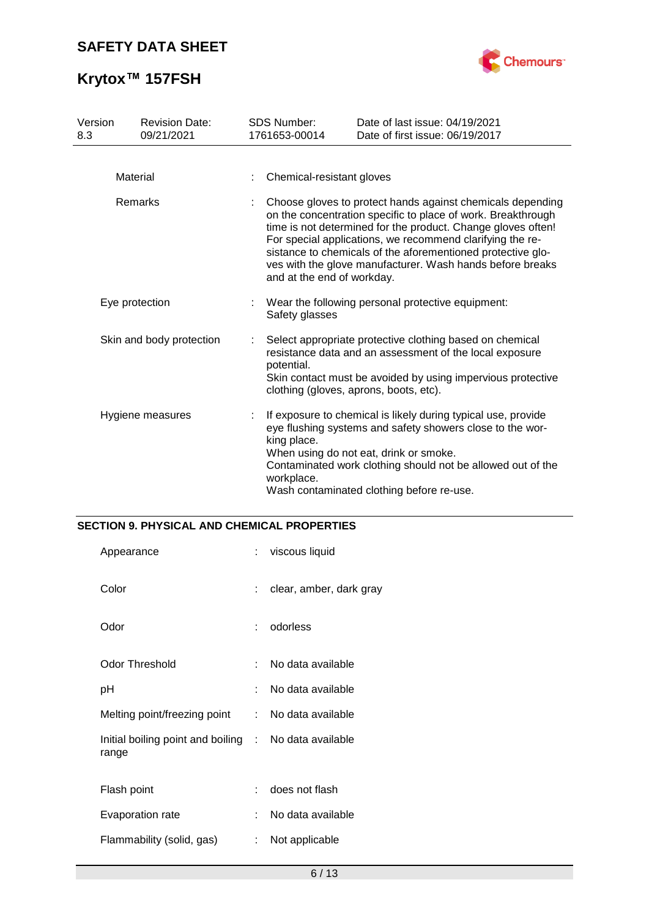

# **Krytox™ 157FSH**

| Version<br>8.3           | <b>Revision Date:</b><br>09/21/2021 | <b>SDS Number:</b><br>1761653-00014                                                                                                                                                                                                                                                                                                                                                                               | Date of last issue: 04/19/2021<br>Date of first issue: 06/19/2017                                                                                                                                                                                                                |  |
|--------------------------|-------------------------------------|-------------------------------------------------------------------------------------------------------------------------------------------------------------------------------------------------------------------------------------------------------------------------------------------------------------------------------------------------------------------------------------------------------------------|----------------------------------------------------------------------------------------------------------------------------------------------------------------------------------------------------------------------------------------------------------------------------------|--|
|                          | Material                            | Chemical-resistant gloves                                                                                                                                                                                                                                                                                                                                                                                         |                                                                                                                                                                                                                                                                                  |  |
| Remarks                  |                                     | Choose gloves to protect hands against chemicals depending<br>on the concentration specific to place of work. Breakthrough<br>time is not determined for the product. Change gloves often!<br>For special applications, we recommend clarifying the re-<br>sistance to chemicals of the aforementioned protective glo-<br>ves with the glove manufacturer. Wash hands before breaks<br>and at the end of workday. |                                                                                                                                                                                                                                                                                  |  |
| Eye protection           |                                     | Safety glasses                                                                                                                                                                                                                                                                                                                                                                                                    | Wear the following personal protective equipment:                                                                                                                                                                                                                                |  |
| Skin and body protection |                                     | potential.                                                                                                                                                                                                                                                                                                                                                                                                        | Select appropriate protective clothing based on chemical<br>resistance data and an assessment of the local exposure<br>Skin contact must be avoided by using impervious protective<br>clothing (gloves, aprons, boots, etc).                                                     |  |
| Hygiene measures         |                                     | king place.<br>workplace.                                                                                                                                                                                                                                                                                                                                                                                         | If exposure to chemical is likely during typical use, provide<br>eye flushing systems and safety showers close to the wor-<br>When using do not eat, drink or smoke.<br>Contaminated work clothing should not be allowed out of the<br>Wash contaminated clothing before re-use. |  |

## **SECTION 9. PHYSICAL AND CHEMICAL PROPERTIES**

| Appearance                                                     |    | : viscous liquid        |
|----------------------------------------------------------------|----|-------------------------|
| Color                                                          | t. | clear, amber, dark gray |
| Odor                                                           |    | : odorless              |
| <b>Odor Threshold</b>                                          | t. | No data available       |
| рH                                                             | t. | No data available       |
| Melting point/freezing point : No data available               |    |                         |
| Initial boiling point and boiling : No data available<br>range |    |                         |
| Flash point                                                    |    | : does not flash        |
| Evaporation rate                                               | t. | No data available       |
| Flammability (solid, gas)                                      | t. | Not applicable          |
|                                                                |    |                         |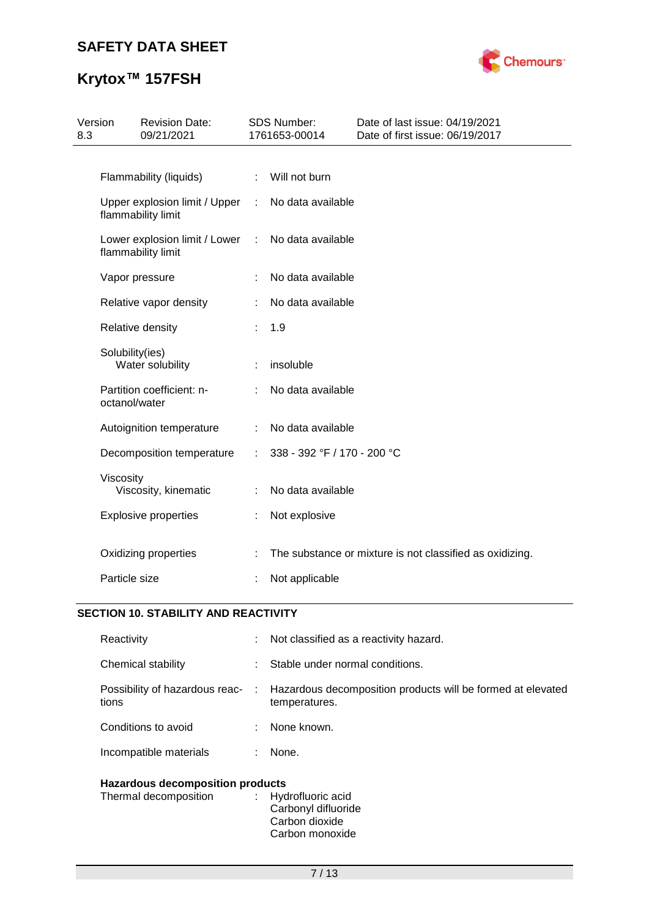

# **Krytox™ 157FSH**

| Version<br>8.3 | <b>Revision Date:</b><br>09/21/2021                 |           | SDS Number:<br>1761653-00014 | Date of last issue: 04/19/2021<br>Date of first issue: 06/19/2017 |
|----------------|-----------------------------------------------------|-----------|------------------------------|-------------------------------------------------------------------|
|                |                                                     |           |                              |                                                                   |
|                | Flammability (liquids)                              | ÷         | Will not burn                |                                                                   |
|                | Upper explosion limit / Upper<br>flammability limit |           | : No data available          |                                                                   |
|                | Lower explosion limit / Lower<br>flammability limit | $\sim$ 1. | No data available            |                                                                   |
|                | Vapor pressure                                      |           | No data available            |                                                                   |
|                | Relative vapor density                              |           | No data available            |                                                                   |
|                | Relative density                                    |           | 1.9                          |                                                                   |
|                | Solubility(ies)<br>Water solubility                 |           | insoluble                    |                                                                   |
|                | Partition coefficient: n-<br>octanol/water          | ÷         | No data available            |                                                                   |
|                | Autoignition temperature                            | ÷         | No data available            |                                                                   |
|                | Decomposition temperature                           | ÷         | 338 - 392 °F / 170 - 200 °C  |                                                                   |
|                | Viscosity<br>Viscosity, kinematic                   | ÷         | No data available            |                                                                   |
|                | <b>Explosive properties</b>                         | ÷         | Not explosive                |                                                                   |
|                | Oxidizing properties                                |           |                              | The substance or mixture is not classified as oxidizing.          |
|                | Particle size                                       |           | Not applicable               |                                                                   |

## **SECTION 10. STABILITY AND REACTIVITY**

| Reactivity                              | t i | Not classified as a reactivity hazard.                                       |
|-----------------------------------------|-----|------------------------------------------------------------------------------|
| Chemical stability                      | ÷.  | Stable under normal conditions.                                              |
| Possibility of hazardous reac-<br>tions | ÷.  | Hazardous decomposition products will be formed at elevated<br>temperatures. |
| Conditions to avoid                     | ÷.  | None known.                                                                  |
| Incompatible materials                  | ÷.  | None.                                                                        |
|                                         |     |                                                                              |

## **Hazardous decomposition products**

| Thermal decomposition | : Hydrofluoric acid<br>Carbonyl difluoride |
|-----------------------|--------------------------------------------|
|                       | Carbon dioxide                             |
|                       | Carbon monoxide                            |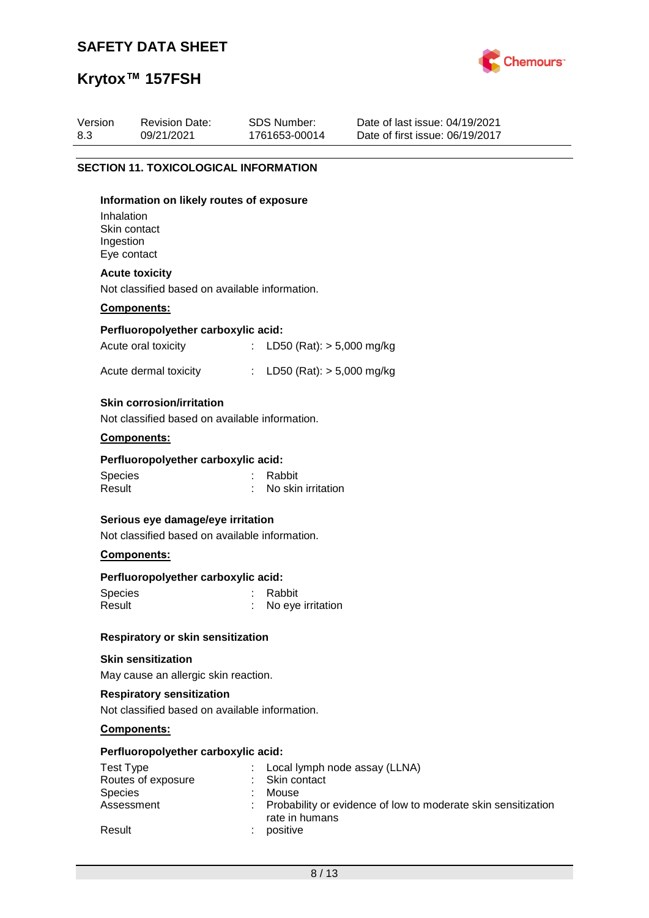

# **Krytox™ 157FSH**

| Version<br>8.3 | <b>Revision Date:</b><br>09/21/2021                                                                | SDS Number:<br>1761653-00014                           | Date of last issue: 04/19/2021<br>Date of first issue: 06/19/2017 |
|----------------|----------------------------------------------------------------------------------------------------|--------------------------------------------------------|-------------------------------------------------------------------|
|                | <b>SECTION 11. TOXICOLOGICAL INFORMATION</b>                                                       |                                                        |                                                                   |
|                | Information on likely routes of exposure<br>Inhalation<br>Skin contact<br>Ingestion<br>Eye contact |                                                        |                                                                   |
|                | <b>Acute toxicity</b><br>Not classified based on available information.                            |                                                        |                                                                   |
|                | Components:                                                                                        |                                                        |                                                                   |
|                | Perfluoropolyether carboxylic acid:                                                                |                                                        |                                                                   |
|                | Acute oral toxicity                                                                                | LD50 (Rat): $> 5,000$ mg/kg<br>$\mathbb{Z}^n$          |                                                                   |
|                | Acute dermal toxicity                                                                              | : LD50 (Rat): $> 5,000$ mg/kg                          |                                                                   |
|                | <b>Skin corrosion/irritation</b><br>Not classified based on available information.                 |                                                        |                                                                   |
|                | Components:                                                                                        |                                                        |                                                                   |
|                | Perfluoropolyether carboxylic acid:                                                                |                                                        |                                                                   |
|                | <b>Species</b><br>Result                                                                           | Rabbit<br>No skin irritation                           |                                                                   |
|                | Serious eye damage/eye irritation<br>Not classified based on available information.                |                                                        |                                                                   |
|                | Components:                                                                                        |                                                        |                                                                   |
|                | Perfluoropolyether carboxylic acid:                                                                |                                                        |                                                                   |
|                | Species<br>Result                                                                                  | Rabbit<br>No eye irritation                            |                                                                   |
|                | Respiratory or skin sensitization                                                                  |                                                        |                                                                   |
|                | <b>Skin sensitization</b><br>May cause an allergic skin reaction.                                  |                                                        |                                                                   |
|                | <b>Respiratory sensitization</b><br>Not classified based on available information.                 |                                                        |                                                                   |
|                | Components:                                                                                        |                                                        |                                                                   |
|                | Perfluoropolyether carboxylic acid:                                                                |                                                        |                                                                   |
|                | <b>Test Type</b><br>Routes of exposure<br>Species                                                  | Local lymph node assay (LLNA)<br>Skin contact<br>Mouse |                                                                   |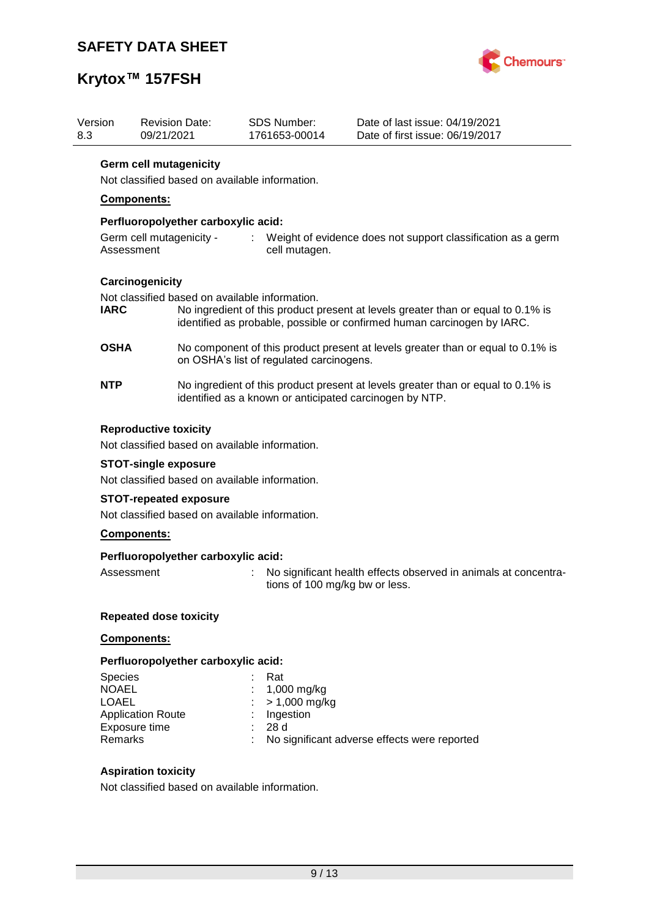

# **Krytox™ 157FSH**

| Version<br>8.3 | <b>Revision Date:</b><br>09/21/2021            | <b>SDS Number:</b><br>1761653-00014                                                                                                         | Date of last issue: 04/19/2021<br>Date of first issue: 06/19/2017                                                                                           |  |  |  |
|----------------|------------------------------------------------|---------------------------------------------------------------------------------------------------------------------------------------------|-------------------------------------------------------------------------------------------------------------------------------------------------------------|--|--|--|
|                | <b>Germ cell mutagenicity</b>                  |                                                                                                                                             |                                                                                                                                                             |  |  |  |
|                |                                                | Not classified based on available information.                                                                                              |                                                                                                                                                             |  |  |  |
|                | Components:                                    |                                                                                                                                             |                                                                                                                                                             |  |  |  |
|                | Perfluoropolyether carboxylic acid:            |                                                                                                                                             |                                                                                                                                                             |  |  |  |
|                | Germ cell mutagenicity -<br>Assessment         | cell mutagen.                                                                                                                               | : Weight of evidence does not support classification as a germ                                                                                              |  |  |  |
|                | Carcinogenicity                                |                                                                                                                                             |                                                                                                                                                             |  |  |  |
| <b>IARC</b>    |                                                | Not classified based on available information.                                                                                              | No ingredient of this product present at levels greater than or equal to 0.1% is<br>identified as probable, possible or confirmed human carcinogen by IARC. |  |  |  |
| <b>OSHA</b>    |                                                | No component of this product present at levels greater than or equal to 0.1% is<br>on OSHA's list of regulated carcinogens.                 |                                                                                                                                                             |  |  |  |
| <b>NTP</b>     |                                                | No ingredient of this product present at levels greater than or equal to 0.1% is<br>identified as a known or anticipated carcinogen by NTP. |                                                                                                                                                             |  |  |  |
|                | <b>Reproductive toxicity</b>                   |                                                                                                                                             |                                                                                                                                                             |  |  |  |
|                |                                                | Not classified based on available information.                                                                                              |                                                                                                                                                             |  |  |  |
|                | <b>STOT-single exposure</b>                    |                                                                                                                                             |                                                                                                                                                             |  |  |  |
|                | Not classified based on available information. |                                                                                                                                             |                                                                                                                                                             |  |  |  |
|                | <b>STOT-repeated exposure</b>                  |                                                                                                                                             |                                                                                                                                                             |  |  |  |
|                | Not classified based on available information. |                                                                                                                                             |                                                                                                                                                             |  |  |  |
|                | Components:                                    |                                                                                                                                             |                                                                                                                                                             |  |  |  |
|                | Perfluoropolyether carboxylic acid:            |                                                                                                                                             |                                                                                                                                                             |  |  |  |
|                | Assessment                                     |                                                                                                                                             | No significant health effects observed in animals at concentra-<br>tions of 100 mg/kg bw or less.                                                           |  |  |  |

### **Repeated dose toxicity**

## **Components:**

## **Perfluoropolyether carboxylic acid:**

| <b>Species</b>           | Rat                                          |
|--------------------------|----------------------------------------------|
| <b>NOAEL</b>             | : $1,000 \,\mathrm{mg/kg}$                   |
| LOAEL                    | $: > 1,000 \text{ mg/kg}$                    |
| <b>Application Route</b> | $:$ Ingestion                                |
| Exposure time            | -28 d                                        |
| <b>Remarks</b>           | No significant adverse effects were reported |
|                          |                                              |

## **Aspiration toxicity**

Not classified based on available information.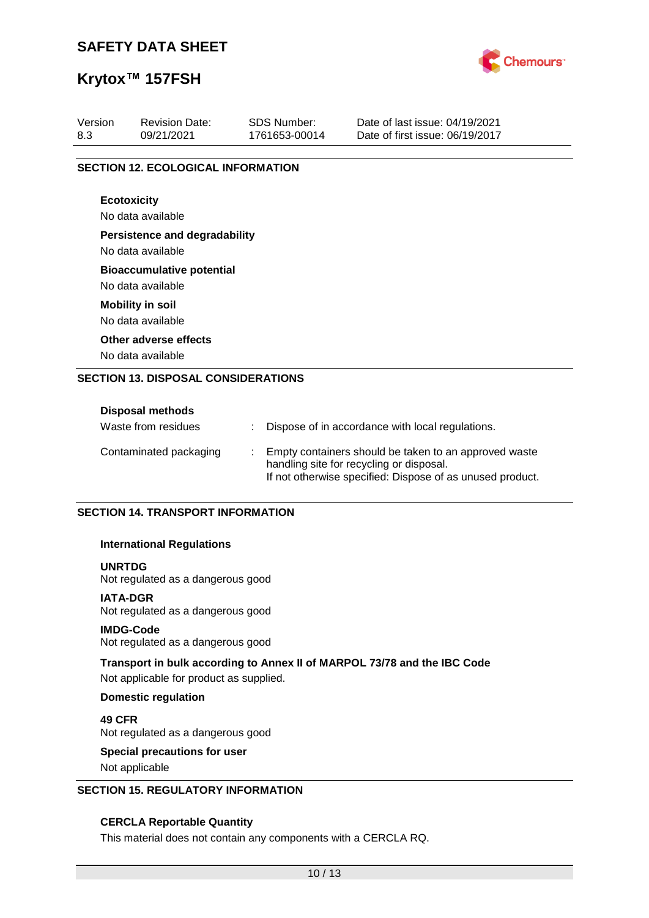

## **Krytox™ 157FSH**

| Version | <b>Revision Date:</b>                     | <b>SDS Number:</b> | Date of last issue: 04/19/2021  |  |  |
|---------|-------------------------------------------|--------------------|---------------------------------|--|--|
| 8.3     | 09/21/2021                                | 1761653-00014      | Date of first issue: 06/19/2017 |  |  |
|         | <b>SECTION 12. ECOLOGICAL INFORMATION</b> |                    |                                 |  |  |
|         |                                           |                    |                                 |  |  |
|         | <b>Ecotoxicity</b>                        |                    |                                 |  |  |
|         | No data available                         |                    |                                 |  |  |
|         | <b>Persistence and degradability</b>      |                    |                                 |  |  |
|         | No data available                         |                    |                                 |  |  |
|         | <b>Bioaccumulative potential</b>          |                    |                                 |  |  |
|         | No data available                         |                    |                                 |  |  |
|         | <b>Mobility in soil</b>                   |                    |                                 |  |  |
|         | No data available                         |                    |                                 |  |  |
|         | Other adverse effects                     |                    |                                 |  |  |
|         | No data available                         |                    |                                 |  |  |

| <b>Disposal methods</b> |                                                                                                                                                                  |
|-------------------------|------------------------------------------------------------------------------------------------------------------------------------------------------------------|
| Waste from residues     | : Dispose of in accordance with local regulations.                                                                                                               |
| Contaminated packaging  | : Empty containers should be taken to an approved waste<br>handling site for recycling or disposal.<br>If not otherwise specified: Dispose of as unused product. |

#### **SECTION 14. TRANSPORT INFORMATION**

#### **International Regulations**

#### **UNRTDG**

Not regulated as a dangerous good

### **IATA-DGR**

Not regulated as a dangerous good

#### **IMDG-Code**

Not regulated as a dangerous good

#### **Transport in bulk according to Annex II of MARPOL 73/78 and the IBC Code**

Not applicable for product as supplied.

#### **Domestic regulation**

**49 CFR** Not regulated as a dangerous good

# **Special precautions for user**

Not applicable

### **SECTION 15. REGULATORY INFORMATION**

#### **CERCLA Reportable Quantity**

This material does not contain any components with a CERCLA RQ.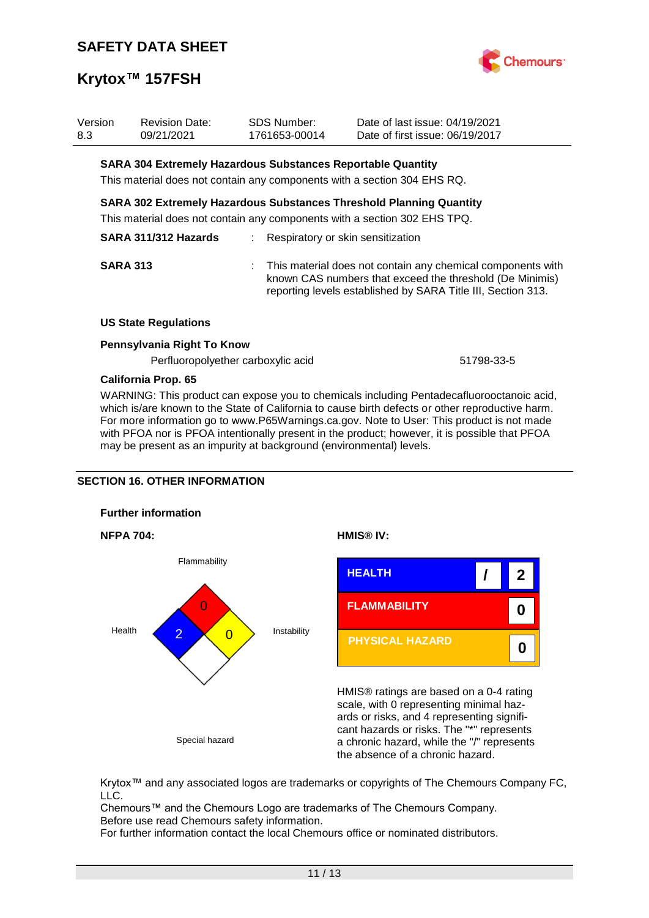

| Version<br>8.3 | Revision Date:<br>09/21/2021                                       | <b>SDS Number:</b><br>1761653-00014 | Date of last issue: 04/19/2021<br>Date of first issue: 06/19/2017                                                                                                                         |
|----------------|--------------------------------------------------------------------|-------------------------------------|-------------------------------------------------------------------------------------------------------------------------------------------------------------------------------------------|
|                | <b>SARA 304 Extremely Hazardous Substances Reportable Quantity</b> |                                     |                                                                                                                                                                                           |
|                |                                                                    |                                     | This material does not contain any components with a section 304 EHS RQ.                                                                                                                  |
|                |                                                                    |                                     | <b>SARA 302 Extremely Hazardous Substances Threshold Planning Quantity</b>                                                                                                                |
|                |                                                                    |                                     | This material does not contain any components with a section 302 EHS TPQ.                                                                                                                 |
|                | SARA 311/312 Hazards                                               |                                     | : Respiratory or skin sensitization                                                                                                                                                       |
|                | <b>SARA 313</b>                                                    |                                     | : This material does not contain any chemical components with<br>known CAS numbers that exceed the threshold (De Minimis)<br>reporting levels established by SARA Title III, Section 313. |
|                | <b>US State Regulations</b>                                        |                                     |                                                                                                                                                                                           |
|                | Pennsylvania Right To Know                                         |                                     |                                                                                                                                                                                           |

Perfluoropolyether carboxylic acid 51798-33-5

#### **California Prop. 65**

WARNING: This product can expose you to chemicals including Pentadecafluorooctanoic acid, which is/are known to the State of California to cause birth defects or other reproductive harm. For more information go to www.P65Warnings.ca.gov. Note to User: This product is not made with PFOA nor is PFOA intentionally present in the product; however, it is possible that PFOA may be present as an impurity at background (environmental) levels.

### **SECTION 16. OTHER INFORMATION**









HMIS® ratings are based on a 0-4 rating scale, with 0 representing minimal hazards or risks, and 4 representing significant hazards or risks. The "\*" represents a chronic hazard, while the "/" represents the absence of a chronic hazard.

Krytox™ and any associated logos are trademarks or copyrights of The Chemours Company FC, LLC.

Chemours™ and the Chemours Logo are trademarks of The Chemours Company. Before use read Chemours safety information.

For further information contact the local Chemours office or nominated distributors.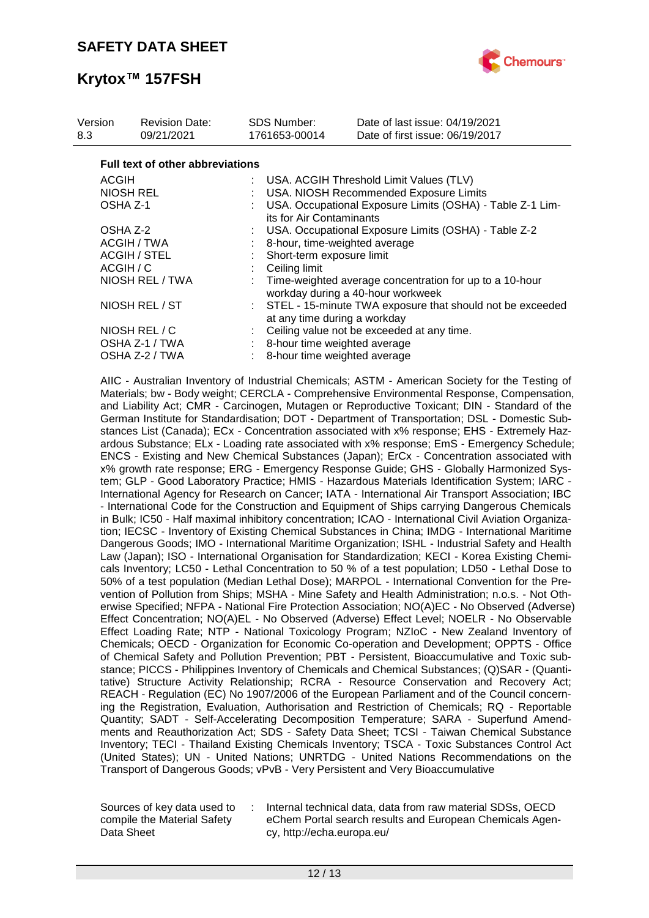

| Version<br>8.3  | <b>Revision Date:</b><br>09/21/2021     | <b>SDS Number:</b><br>1761653-00014 | Date of last issue: 04/19/2021<br>Date of first issue: 06/19/2017                            |
|-----------------|-----------------------------------------|-------------------------------------|----------------------------------------------------------------------------------------------|
|                 | <b>Full text of other abbreviations</b> |                                     |                                                                                              |
|                 | <b>ACGIH</b>                            |                                     | : USA. ACGIH Threshold Limit Values (TLV)                                                    |
|                 | <b>NIOSH REL</b>                        |                                     | USA. NIOSH Recommended Exposure Limits                                                       |
| OSHA Z-1        |                                         |                                     | USA. Occupational Exposure Limits (OSHA) - Table Z-1 Lim-<br>its for Air Contaminants        |
|                 | OSHA Z-2                                |                                     | USA. Occupational Exposure Limits (OSHA) - Table Z-2                                         |
|                 | ACGIH / TWA                             |                                     | 8-hour, time-weighted average                                                                |
|                 | ACGIH / STEL                            |                                     | Short-term exposure limit                                                                    |
| ACGIH / C       |                                         | Ceiling limit                       |                                                                                              |
| NIOSH REL / TWA |                                         |                                     | Time-weighted average concentration for up to a 10-hour<br>workday during a 40-hour workweek |
| NIOSH REL / ST  |                                         |                                     | : STEL - 15-minute TWA exposure that should not be exceeded<br>at any time during a workday  |
|                 | NIOSH REL / C                           |                                     | Ceiling value not be exceeded at any time.                                                   |
|                 | OSHA Z-1 / TWA                          |                                     | : 8-hour time weighted average                                                               |
| OSHA Z-2 / TWA  |                                         |                                     | 8-hour time weighted average                                                                 |

AIIC - Australian Inventory of Industrial Chemicals; ASTM - American Society for the Testing of Materials; bw - Body weight; CERCLA - Comprehensive Environmental Response, Compensation, and Liability Act; CMR - Carcinogen, Mutagen or Reproductive Toxicant; DIN - Standard of the German Institute for Standardisation; DOT - Department of Transportation; DSL - Domestic Substances List (Canada); ECx - Concentration associated with x% response; EHS - Extremely Hazardous Substance; ELx - Loading rate associated with x% response; EmS - Emergency Schedule; ENCS - Existing and New Chemical Substances (Japan); ErCx - Concentration associated with x% growth rate response; ERG - Emergency Response Guide; GHS - Globally Harmonized System; GLP - Good Laboratory Practice; HMIS - Hazardous Materials Identification System; IARC - International Agency for Research on Cancer; IATA - International Air Transport Association; IBC - International Code for the Construction and Equipment of Ships carrying Dangerous Chemicals in Bulk; IC50 - Half maximal inhibitory concentration; ICAO - International Civil Aviation Organization; IECSC - Inventory of Existing Chemical Substances in China; IMDG - International Maritime Dangerous Goods; IMO - International Maritime Organization; ISHL - Industrial Safety and Health Law (Japan); ISO - International Organisation for Standardization; KECI - Korea Existing Chemicals Inventory; LC50 - Lethal Concentration to 50 % of a test population; LD50 - Lethal Dose to 50% of a test population (Median Lethal Dose); MARPOL - International Convention for the Prevention of Pollution from Ships; MSHA - Mine Safety and Health Administration; n.o.s. - Not Otherwise Specified; NFPA - National Fire Protection Association; NO(A)EC - No Observed (Adverse) Effect Concentration; NO(A)EL - No Observed (Adverse) Effect Level; NOELR - No Observable Effect Loading Rate; NTP - National Toxicology Program; NZIoC - New Zealand Inventory of Chemicals; OECD - Organization for Economic Co-operation and Development; OPPTS - Office of Chemical Safety and Pollution Prevention; PBT - Persistent, Bioaccumulative and Toxic substance; PICCS - Philippines Inventory of Chemicals and Chemical Substances; (Q)SAR - (Quantitative) Structure Activity Relationship; RCRA - Resource Conservation and Recovery Act; REACH - Regulation (EC) No 1907/2006 of the European Parliament and of the Council concerning the Registration, Evaluation, Authorisation and Restriction of Chemicals; RQ - Reportable Quantity; SADT - Self-Accelerating Decomposition Temperature; SARA - Superfund Amendments and Reauthorization Act; SDS - Safety Data Sheet; TCSI - Taiwan Chemical Substance Inventory; TECI - Thailand Existing Chemicals Inventory; TSCA - Toxic Substances Control Act (United States); UN - United Nations; UNRTDG - United Nations Recommendations on the Transport of Dangerous Goods; vPvB - Very Persistent and Very Bioaccumulative

Sources of key data used to compile the Material Safety Data Sheet

Internal technical data, data from raw material SDSs, OECD eChem Portal search results and European Chemicals Agency, http://echa.europa.eu/